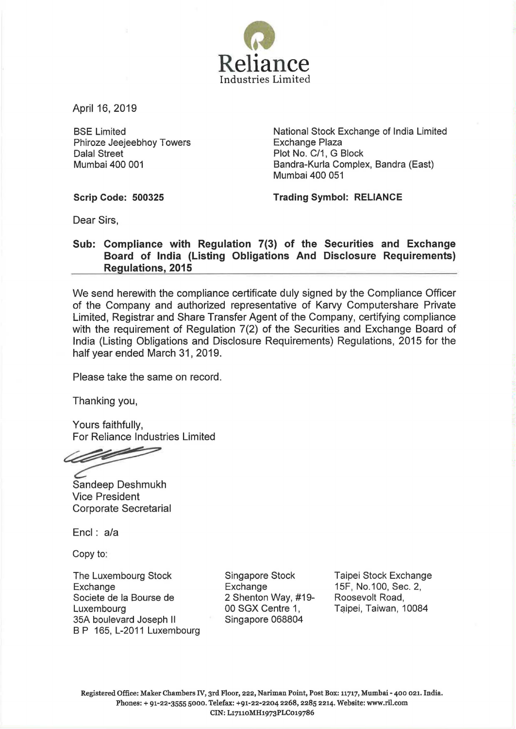

April 16, 2019

BSE Limited Phiroze Jeejeebhoy Towers Dalal Street Mumbai 400 001

National Stock Exchange of India Limited Exchange Plaza Plot No. C/1, G Block Bandra-Kurla Complex, Sandra (East) Mumbai 400 051

Scrip Code: 500325

Trading Symbol: RELIANCE

Dear Sirs,

## Sub: Compliance with Regulation 7(3) of the Securities and Exchange Board of India (Listing Obligations And Disclosure Requirements) Regulations, 2015

We send herewith the compliance certificate duly signed by the Compliance Officer of the Company and authorized representative of Karvy Computershare Private Limited, Registrar and Share Transfer Agent of the Company, certifying compliance with the requirement of Regulation 7(2) of the Securities and Exchange Board of India (Listing Obligations and Disclosure Requirements) Regulations, 2015 for the half year ended March 31, 2019.

Please take the same on record.

Thanking you,

Yours faithfully, For Reliance Industries Limited

lette

Sandeep Deshmukh Vice President Corporate Secretarial

Encl: a/a

Copy to:

The Luxembourg Stock Exchange Societe de Ia Bourse de Luxembourg 35A boulevard Joseph II B P 165, L-2011 Luxembourg Singapore Stock Exchange 2 Shenton Way, #19- 00 SGX Centre 1, Singapore 068804

Taipei Stock Exchange 15F, No.100, Sec. 2, Roosevelt Road, Taipei, Taiwan, 10084